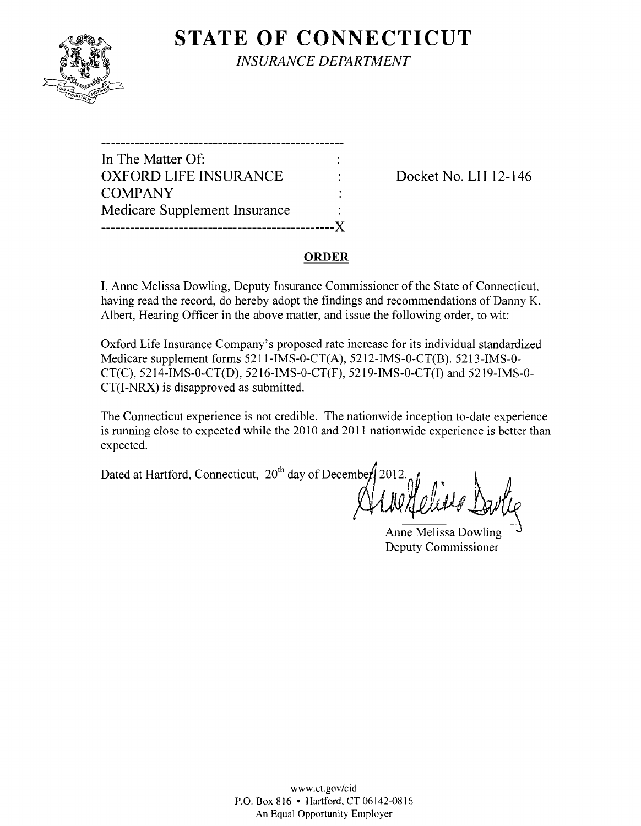

**STATE OF CONNECTICUT** *INSURANCE DEPARTMENT* 

| In The Matter Of:             |  |
|-------------------------------|--|
| <b>OXFORD LIFE INSURANCE</b>  |  |
| <b>COMPANY</b>                |  |
| Medicare Supplement Insurance |  |
|                               |  |

Docket No. LH 12-146

## **ORDER**

I, Anne Melissa Dowling, Deputy Insurance Commissioner of the State of Connecticut, having read the record, do hereby adopt the findings and recommendations of Danny K. Albert, Hearing Officer in the above matter, and issue the following order, to wit:

Oxford Life Insurance Company's proposed rate increase for its individual standardized Medicare supplement forms 5211-IMS-0-CT(A), 5212-IMS-0-CT(B). 5213-IMS-0 CT(C), 5214-IMS-0-CT(D), 5216-IMS-0-CT(F), 5219-IMS-0-CT(I) and 5219-IMS-0 CT(I-NRX) is disapproved as submitted.

The Connecticut experience is not credible. The nationwide inception to-date experience is running close to expected while the 2010 and 2011 nationwide experience is better than expected.

Dated at Hartford, Connecticut, 20<sup>th</sup> day of December 2012.

Anne Melissa Dowling Deputy Commissioner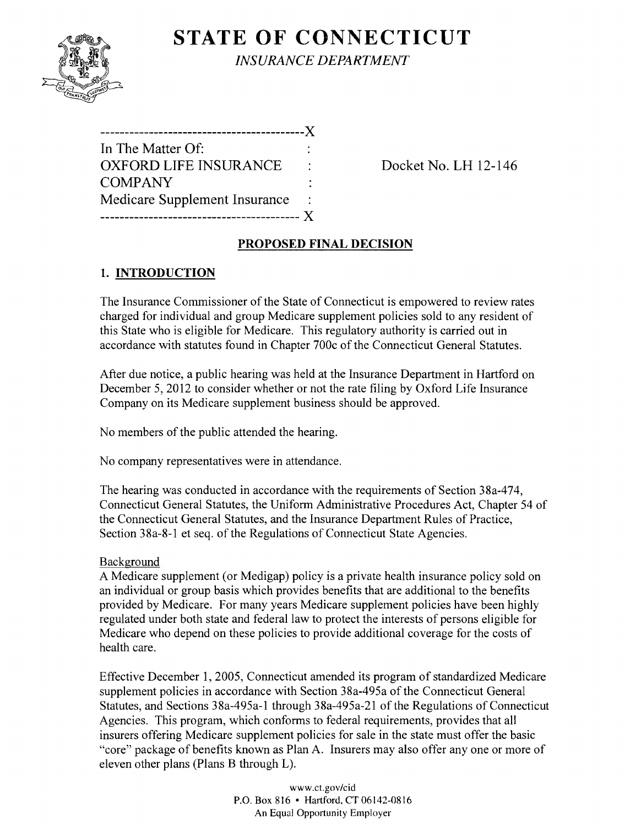# **STATE OF CONNECTICUT**



*INSURANCE DEPARTMENT* 

Docket No. LH 12-146

## **PROPOSED FINAL DECISION**

## **1. INTRODUCTION**

The Insurance Commissioner of the State of Connecticut is empowered to review rates charged for individual and group Medicare supplement policies sold to any resident of this State who is eligible for Medicare. This regulatory authority is carried out in accordance with statutes found in Chapter 700c of the Connecticut General Statutes.

After due notice, a public hearing was held at the Insurance Department in Hartford on December 5, 2012 to consider whether or not the rate filing by Oxford Life Insurance Company on its Medicare supplement business should be approved.

No members of the public attended the hearing.

No company representatives were in attendance.

The hearing was conducted in accordance with the requirements of Section 38a-474, Connecticut General Statutes, the Uniform Administrative Procedures Act, Chapter 54 of the Connecticut General Statutes, and the Insurance Department Rules of Practice, Section 38a-8-1 et seq. of the Regulations of Connecticut State Agencies.

### Background

A Medicare supplement (or Medigap) policy is a private health insurance policy sold on an individual or group basis which provides benefits that are additional to the benefits provided by Medicare. For many years Medicare supplement policies have been highly regulated under both state and federal law to protect the interests of persons eligible for Medicare who depend on these policies to provide additional coverage for the costs of health care.

Effective December 1, 2005, Connecticut amended its program of standardized Medicare supplement policies in accordance with Section 38a-495a of the Connecticut General Statutes, and Sections 38a-495a-1 through 38a-495a-21 of the Regulations of Connecticut Agencies. This program, which conforms to federal requirements, provides that all insurers offering Medicare supplement policies for sale in the state must offer the basic "core" package of benefits known as Plan A. Insurers may also offer anyone or more of eleven other plans (Plans B through L).

> www.ct.gov/cid P.O. Box 816 • Hartford. CT 06142-0816 An Equal Opportunity Employer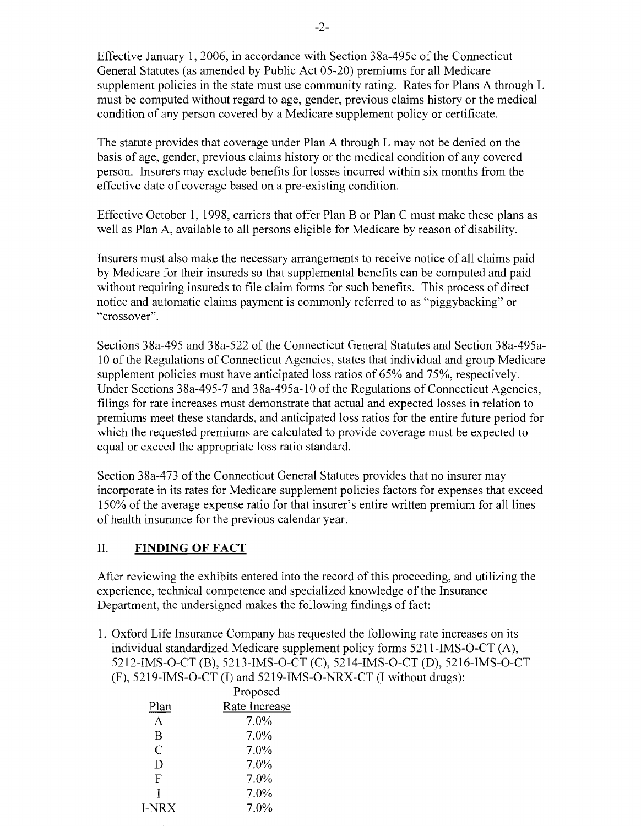Effective January 1,2006, in accordance with Section 38a-495c ofthe Connecticut General Statutes (as amended by Public Act 05-20) premiums for all Medicare supplement policies in the state must use community rating. Rates for Plans A through L must be computed without regard to age, gender, previous claims history or the medical condition of any person covered by a Medicare supplement policy or certificate.

The statute provides that coverage under Plan A through L may not be denied on the basis of age, gender, previous claims history or the medical condition of any covered person. Insurers may exclude benefits for losses incurred within six months from the effective date of coverage based on a pre-existing condition.

Effective October 1, 1998, carriers that offer Plan B or Plan C must make these plans as well as Plan A, available to all persons eligible for Medicare by reason of disability.

Insurers must also make the necessary arrangements to receive notice of all claims paid by Medicare for their insureds so that supplemental benefits can be computed and paid without requiring insureds to file claim forms for such benefits. This process of direct notice and automatic claims payment is commonly referred to as "piggybacking" or "crossover".

Sections 38a-495 and 38a-522 of the Connecticut General Statutes and Section 38a-495a-10 of the Regulations of Connecticut Agencies, states that individual and group Medicare supplement policies must have anticipated loss ratios of 65% and 75%, respectively. Under Sections 38a-495-7 and 38a-495a-l0 of the Regulations of Connecticut Agencies, filings for rate increases must demonstrate that actual and expected losses in relation to premiums meet these standards, and anticipated loss ratios for the entire future period for which the requested premiums are calculated to provide coverage must be expected to equal or exceed the appropriate loss ratio standard.

Section 38a-473 of the Connecticut General Statutes provides that no insurer may incorporate in its rates for Medicare supplement policies factors for expenses that exceed 150% of the average expense ratio for that insurer's entire written premium for all lines of health insurance for the previous calendar year.

### II. **FINDING OF FACT**

After reviewing the exhibits entered into the record of this proceeding, and utilizing the experience, technical competence and specialized knowledge of the Insurance Department, the undersigned makes the following findings of fact:

1. Oxford Life Insurance Company has requested the following rate increases on its individual standardized Medicare supplement policy forms 5211-IMS-O-CT (A), 5212-IMS-O-CT (B), 5213-IMS-O-CT (C), 5214-IMS-O-CT (D), 5216-IMS-O-CT (F), 5219-IMS-O-CT (I) and 5219-IMS-O-NRX-CT (I without drugs):

|               | Proposed      |  |  |
|---------------|---------------|--|--|
| Plan          | Rate Increase |  |  |
| $\mathsf{A}$  | 7.0%          |  |  |
| R             | 7.0%          |  |  |
| $\mathcal{C}$ | 7.0%          |  |  |
| D             | 7.0%          |  |  |
| F             | $7.0\%$       |  |  |
| T             | 7.0%          |  |  |
| <b>I-NRX</b>  | 7.0%          |  |  |
|               |               |  |  |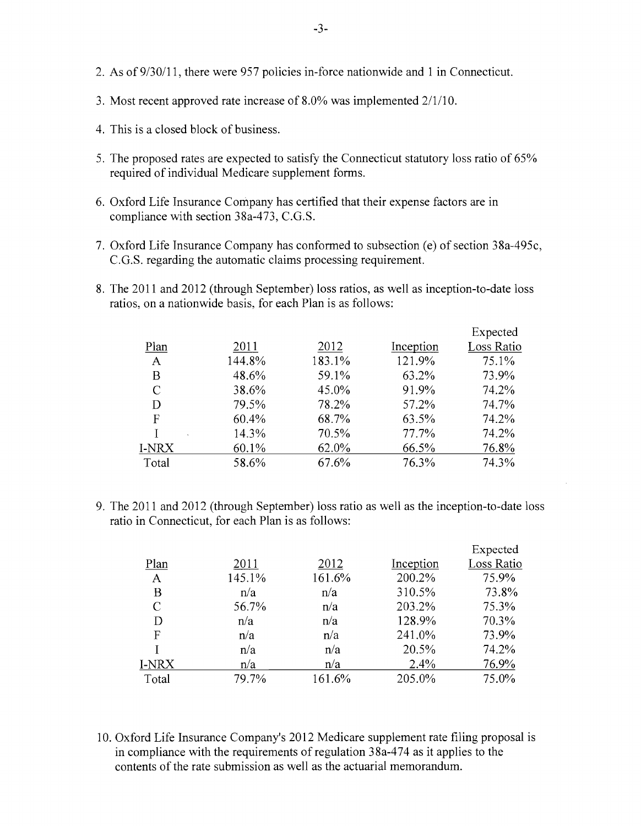- 2. As of  $9/30/11$ , there were 957 policies in-force nationwide and 1 in Connecticut.
- 3. Most recent approved rate increase of  $8.0\%$  was implemented  $2/1/10$ .
- 4. This is a closed block of business.
- 5. The proposed rates are expected to satisfy the Connecticut statutory loss ratio of 65% required of individual Medicare supplement forms.
- 6. Oxford Life Insurance Company has certified that their expense factors are in compliance with section 38a-473, C.G.S.
- 7. Oxford Life Insurance Company has conformed to subsection (e) of section 38a-495c, C.G.S. regarding the automatic claims processing requirement.
- 8. The 2011 and 2012 (through September) loss ratios, as well as inception-to-date loss ratios, on a nationwide basis, for each Plan is as follows:

|       |        |        |           | Expected   |
|-------|--------|--------|-----------|------------|
| Plan  | 2011   | 2012   | Inception | Loss Ratio |
| A     | 144.8% | 183.1% | 121.9%    | 75.1%      |
| Β     | 48.6%  | 59.1%  | 63.2%     | 73.9%      |
| C     | 38.6%  | 45.0%  | 91.9%     | 74.2%      |
| D     | 79.5%  | 78.2%  | 57.2%     | 74.7%      |
| F     | 60.4%  | 68.7%  | 63.5%     | 74.2%      |
|       | 14.3%  | 70.5%  | 77.7%     | 74.2%      |
| I-NRX | 60.1%  | 62.0%  | 66.5%     | 76.8%      |
| Total | 58.6%  | 67.6%  | 76.3%     | 74.3%      |
|       |        |        |           |            |

9. The 2011 and 2012 (through September) loss ratio as well as the inception-to-date loss ratio in Connecticut, for each Plan is as follows:

|       |        |        |           | Expected   |
|-------|--------|--------|-----------|------------|
| Plan  | 2011   | 2012   | Inception | Loss Ratio |
| A     | 145.1% | 161.6% | 200.2%    | 75.9%      |
| В     | n/a    | n/a    | 310.5%    | 73.8%      |
| C     | 56.7%  | n/a    | 203.2%    | 75.3%      |
| D     | n/a    | n/a    | 128.9%    | 70.3%      |
| F     | n/a    | n/a    | 241.0%    | 73.9%      |
|       | n/a    | n/a    | 20.5%     | 74.2%      |
| I-NRX | n/a    | n/a    | 2.4%      | 76.9%      |
| Total | 79.7%  | 161.6% | 205.0%    | 75.0%      |

10. Oxford Life Insurance Company's 2012 Medicare supplement rate filing proposal is in compliance with the requirements of regulation 38a-474 as it applies to the contents of the rate submission as well as the actuarial memorandum.